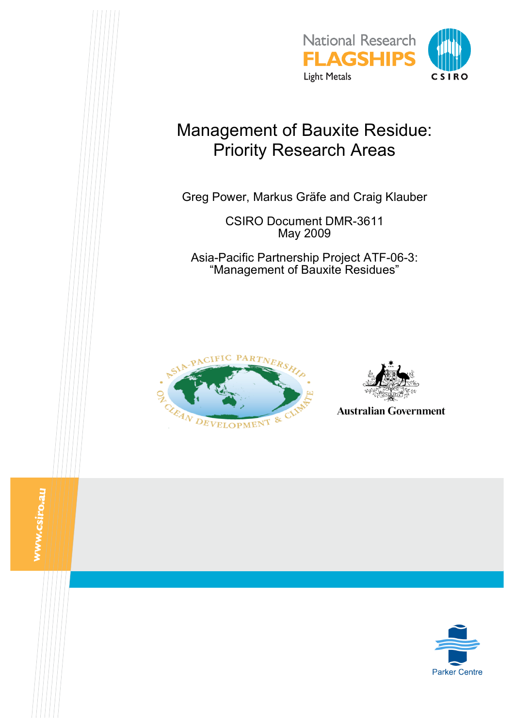

# Management of Bauxite Residue: Priority Research Areas

Greg Power, Markus Gräfe and Craig Klauber

CSIRO Document DMR-3611 May 2009

Asia-Pacific Partnership Project ATF-06-3: "Management of Bauxite Residues"





**Australian Government** 

www.csiro.au

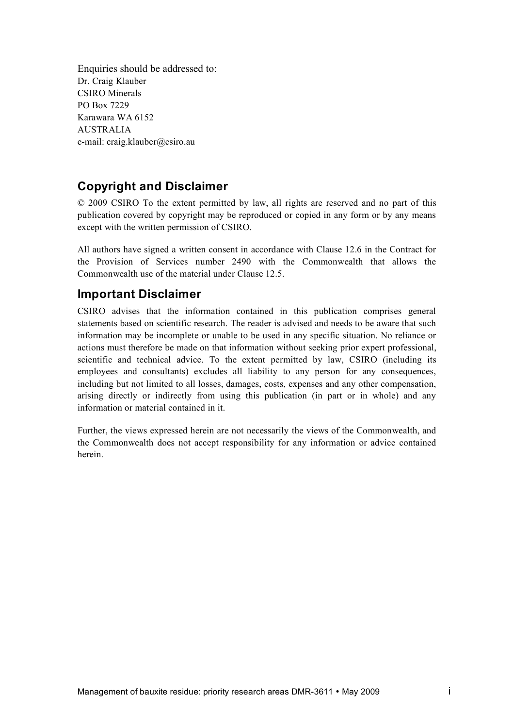Enquiries should be addressed to: Dr. Craig Klauber CSIRO Minerals PO Box 7229 Karawara WA 6152 AUSTRALIA e-mail: craig.klauber@csiro.au

# **Copyright and Disclaimer**

© 2009 CSIRO To the extent permitted by law, all rights are reserved and no part of this publication covered by copyright may be reproduced or copied in any form or by any means except with the written permission of CSIRO.

All authors have signed a written consent in accordance with Clause 12.6 in the Contract for the Provision of Services number 2490 with the Commonwealth that allows the Commonwealth use of the material under Clause 12.5.

# **Important Disclaimer**

CSIRO advises that the information contained in this publication comprises general statements based on scientific research. The reader is advised and needs to be aware that such information may be incomplete or unable to be used in any specific situation. No reliance or actions must therefore be made on that information without seeking prior expert professional, scientific and technical advice. To the extent permitted by law, CSIRO (including its employees and consultants) excludes all liability to any person for any consequences, including but not limited to all losses, damages, costs, expenses and any other compensation, arising directly or indirectly from using this publication (in part or in whole) and any information or material contained in it.

Further, the views expressed herein are not necessarily the views of the Commonwealth, and the Commonwealth does not accept responsibility for any information or advice contained herein.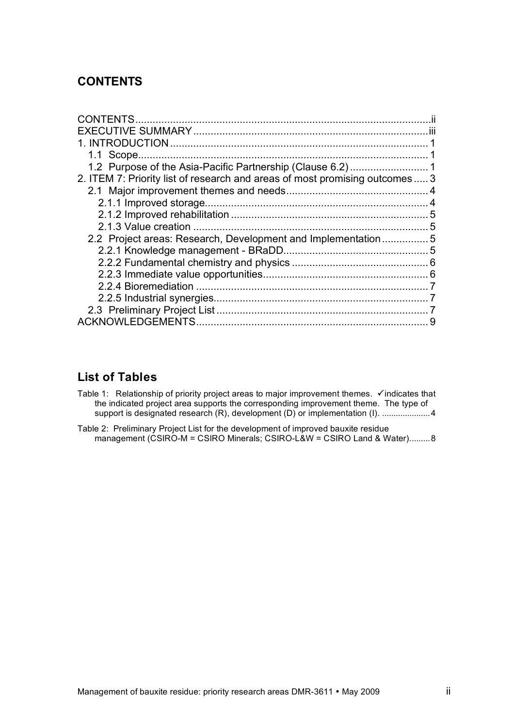# **CONTENTS**

| CONTENTS.                                                                    |    |
|------------------------------------------------------------------------------|----|
|                                                                              |    |
|                                                                              |    |
| 1.1 Scope.                                                                   |    |
|                                                                              |    |
| 2. ITEM 7: Priority list of research and areas of most promising outcomes  3 |    |
|                                                                              |    |
|                                                                              |    |
|                                                                              | .5 |
|                                                                              |    |
| 2.2 Project areas: Research, Development and Implementation5                 |    |
|                                                                              |    |
|                                                                              |    |
|                                                                              |    |
| 2.2.4 Bioremediation                                                         |    |
|                                                                              |    |
|                                                                              |    |
| <b>ACKNOWLEDGEMENTS</b>                                                      | 9  |
|                                                                              |    |

# **List of Tables**

- Table 1: Relationship of priority project areas to major improvement themes.  $\checkmark$  indicates that the indicated project area supports the corresponding improvement theme. The type of support is designated research (R), development (D) or implementation (I). .....................4
- Table 2: Preliminary Project List for the development of improved bauxite residue management (CSIRO-M = CSIRO Minerals; CSIRO-L&W = CSIRO Land & Water).........8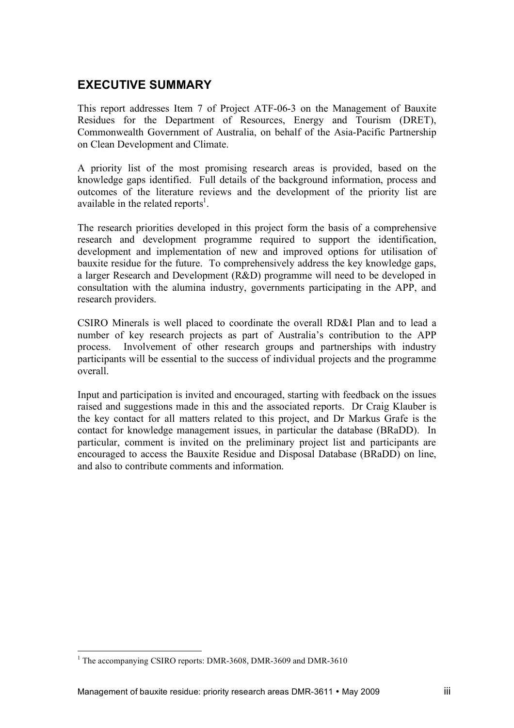# **EXECUTIVE SUMMARY**

This report addresses Item 7 of Project ATF-06-3 on the Management of Bauxite Residues for the Department of Resources, Energy and Tourism (DRET), Commonwealth Government of Australia, on behalf of the Asia-Pacific Partnership on Clean Development and Climate.

A priority list of the most promising research areas is provided, based on the knowledge gaps identified. Full details of the background information, process and outcomes of the literature reviews and the development of the priority list are available in the related reports<sup>1</sup>.

The research priorities developed in this project form the basis of a comprehensive research and development programme required to support the identification, development and implementation of new and improved options for utilisation of bauxite residue for the future. To comprehensively address the key knowledge gaps, a larger Research and Development (R&D) programme will need to be developed in consultation with the alumina industry, governments participating in the APP, and research providers.

CSIRO Minerals is well placed to coordinate the overall RD&I Plan and to lead a number of key research projects as part of Australia's contribution to the APP process. Involvement of other research groups and partnerships with industry participants will be essential to the success of individual projects and the programme overall.

Input and participation is invited and encouraged, starting with feedback on the issues raised and suggestions made in this and the associated reports. Dr Craig Klauber is the key contact for all matters related to this project, and Dr Markus Grafe is the contact for knowledge management issues, in particular the database (BRaDD). In particular, comment is invited on the preliminary project list and participants are encouraged to access the Bauxite Residue and Disposal Database (BRaDD) on line, and also to contribute comments and information.

<sup>&</sup>lt;sup>1</sup> The accompanying CSIRO reports: DMR-3608, DMR-3609 and DMR-3610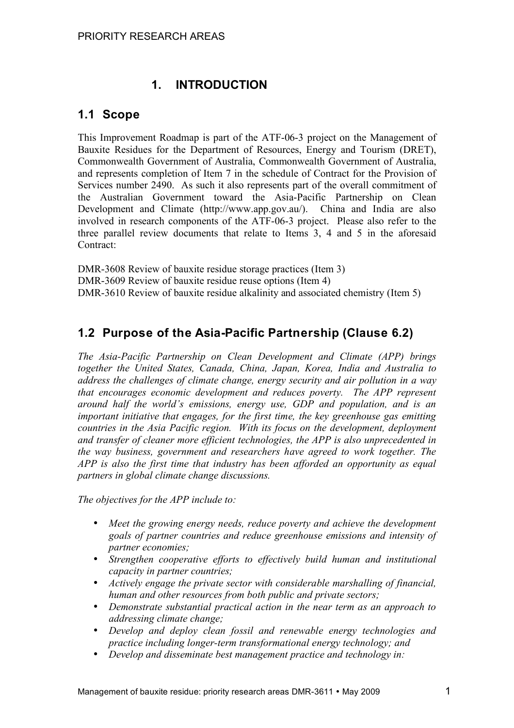# **1. INTRODUCTION**

# **1.1 Scope**

This Improvement Roadmap is part of the ATF-06-3 project on the Management of Bauxite Residues for the Department of Resources, Energy and Tourism (DRET), Commonwealth Government of Australia, Commonwealth Government of Australia, and represents completion of Item 7 in the schedule of Contract for the Provision of Services number 2490. As such it also represents part of the overall commitment of the Australian Government toward the Asia-Pacific Partnership on Clean Development and Climate (http://www.app.gov.au/). China and India are also involved in research components of the ATF-06-3 project. Please also refer to the three parallel review documents that relate to Items 3, 4 and 5 in the aforesaid Contract:

DMR-3608 Review of bauxite residue storage practices (Item 3) DMR-3609 Review of bauxite residue reuse options (Item 4) DMR-3610 Review of bauxite residue alkalinity and associated chemistry (Item 5)

# **1.2 Purpose of the Asia-Pacific Partnership (Clause 6.2)**

*The Asia-Pacific Partnership on Clean Development and Climate (APP) brings together the United States, Canada, China, Japan, Korea, India and Australia to address the challenges of climate change, energy security and air pollution in a way that encourages economic development and reduces poverty. The APP represent around half the world's emissions, energy use, GDP and population, and is an important initiative that engages, for the first time, the key greenhouse gas emitting countries in the Asia Pacific region. With its focus on the development, deployment and transfer of cleaner more efficient technologies, the APP is also unprecedented in the way business, government and researchers have agreed to work together. The APP is also the first time that industry has been afforded an opportunity as equal partners in global climate change discussions.*

*The objectives for the APP include to:*

- *Meet the growing energy needs, reduce poverty and achieve the development goals of partner countries and reduce greenhouse emissions and intensity of partner economies;*
- *Strengthen cooperative efforts to effectively build human and institutional capacity in partner countries;*
- *Actively engage the private sector with considerable marshalling of financial, human and other resources from both public and private sectors;*
- *Demonstrate substantial practical action in the near term as an approach to addressing climate change;*
- *Develop and deploy clean fossil and renewable energy technologies and practice including longer-term transformational energy technology; and*
- *Develop and disseminate best management practice and technology in:*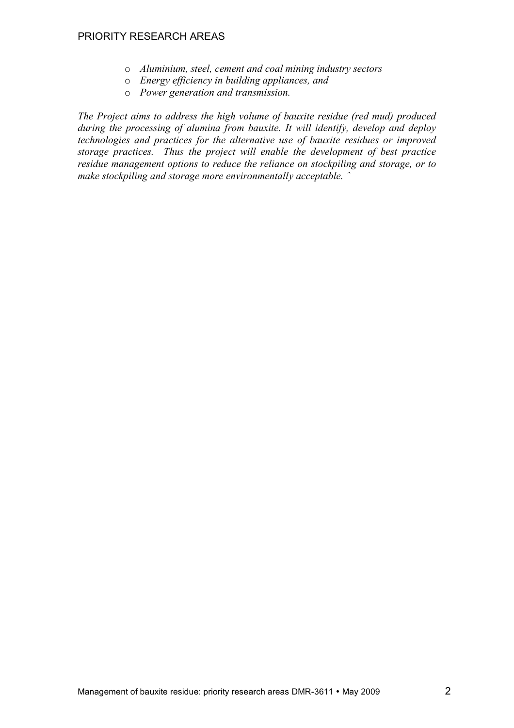- o *Aluminium, steel, cement and coal mining industry sectors*
- o *Energy efficiency in building appliances, and*
- o *Power generation and transmission.*

*The Project aims to address the high volume of bauxite residue (red mud) produced during the processing of alumina from bauxite. It will identify, develop and deploy technologies and practices for the alternative use of bauxite residues or improved storage practices. Thus the project will enable the development of best practice residue management options to reduce the reliance on stockpiling and storage, or to make stockpiling and storage more environmentally acceptable. ˆ*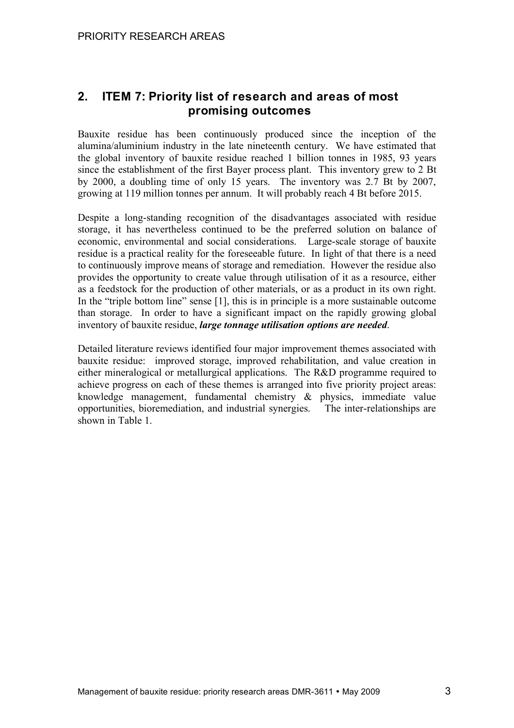# **2. ITEM 7: Priority list of research and areas of most promising outcomes**

Bauxite residue has been continuously produced since the inception of the alumina/aluminium industry in the late nineteenth century. We have estimated that the global inventory of bauxite residue reached 1 billion tonnes in 1985, 93 years since the establishment of the first Bayer process plant. This inventory grew to 2 Bt by 2000, a doubling time of only 15 years. The inventory was 2.7 Bt by 2007, growing at 119 million tonnes per annum. It will probably reach 4 Bt before 2015.

Despite a long-standing recognition of the disadvantages associated with residue storage, it has nevertheless continued to be the preferred solution on balance of economic, environmental and social considerations. Large-scale storage of bauxite residue is a practical reality for the foreseeable future. In light of that there is a need to continuously improve means of storage and remediation. However the residue also provides the opportunity to create value through utilisation of it as a resource, either as a feedstock for the production of other materials, or as a product in its own right. In the "triple bottom line" sense [1], this is in principle is a more sustainable outcome than storage. In order to have a significant impact on the rapidly growing global inventory of bauxite residue, *large tonnage utilisation options are needed*.

Detailed literature reviews identified four major improvement themes associated with bauxite residue: improved storage, improved rehabilitation, and value creation in either mineralogical or metallurgical applications. The R&D programme required to achieve progress on each of these themes is arranged into five priority project areas: knowledge management, fundamental chemistry & physics, immediate value opportunities, bioremediation, and industrial synergies. The inter-relationships are shown in Table 1.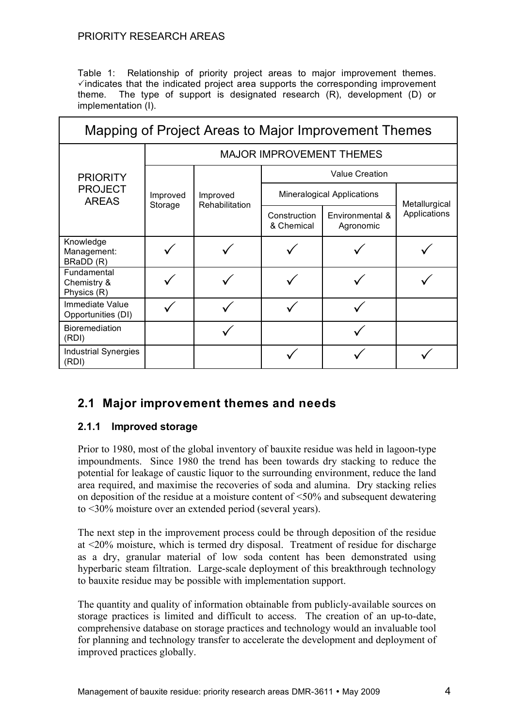Table 1: Relationship of priority project areas to major improvement themes.  $\checkmark$  indicates that the indicated project area supports the corresponding improvement theme. The type of support is designated research (R), development (D) or implementation (I).

| Mapping of Project Areas to Major Improvement Themes |                                 |                            |                                   |                              |               |  |
|------------------------------------------------------|---------------------------------|----------------------------|-----------------------------------|------------------------------|---------------|--|
| <b>PRIORITY</b><br><b>PROJECT</b><br><b>AREAS</b>    | <b>MAJOR IMPROVEMENT THEMES</b> |                            |                                   |                              |               |  |
|                                                      | Improved<br>Storage             | Improved<br>Rehabilitation | <b>Value Creation</b>             |                              |               |  |
|                                                      |                                 |                            | <b>Mineralogical Applications</b> |                              | Metallurgical |  |
|                                                      |                                 |                            | Construction<br>& Chemical        | Environmental &<br>Agronomic | Applications  |  |
| Knowledge<br>Management:<br>BRaDD (R)                |                                 |                            |                                   |                              |               |  |
| Fundamental<br>Chemistry &<br>Physics (R)            |                                 |                            |                                   |                              |               |  |
| Immediate Value<br>Opportunities (DI)                |                                 |                            |                                   |                              |               |  |
| Bioremediation<br>(RDI)                              |                                 |                            |                                   |                              |               |  |
| <b>Industrial Synergies</b><br>(RDI)                 |                                 |                            |                                   |                              |               |  |

# **2.1 Major improvement themes and needs**

### **2.1.1 Improved storage**

Prior to 1980, most of the global inventory of bauxite residue was held in lagoon-type impoundments. Since 1980 the trend has been towards dry stacking to reduce the potential for leakage of caustic liquor to the surrounding environment, reduce the land area required, and maximise the recoveries of soda and alumina. Dry stacking relies on deposition of the residue at a moisture content of <50% and subsequent dewatering to <30% moisture over an extended period (several years).

The next step in the improvement process could be through deposition of the residue at <20% moisture, which is termed dry disposal. Treatment of residue for discharge as a dry, granular material of low soda content has been demonstrated using hyperbaric steam filtration. Large-scale deployment of this breakthrough technology to bauxite residue may be possible with implementation support.

The quantity and quality of information obtainable from publicly-available sources on storage practices is limited and difficult to access. The creation of an up-to-date, comprehensive database on storage practices and technology would an invaluable tool for planning and technology transfer to accelerate the development and deployment of improved practices globally.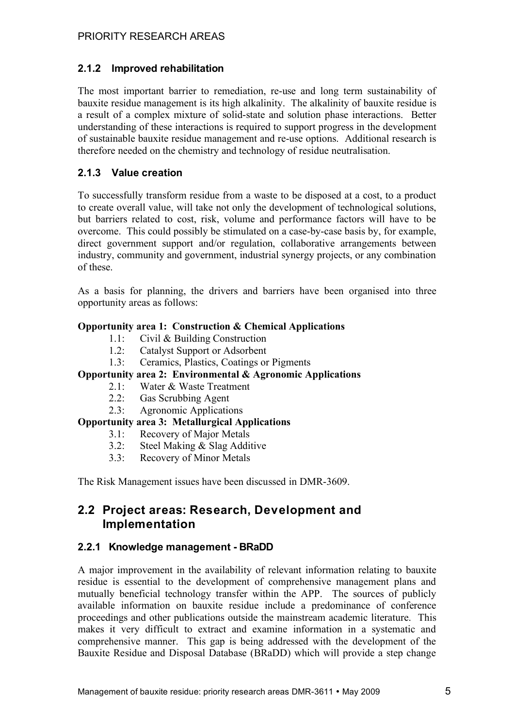### **2.1.2 Improved rehabilitation**

The most important barrier to remediation, re-use and long term sustainability of bauxite residue management is its high alkalinity. The alkalinity of bauxite residue is a result of a complex mixture of solid-state and solution phase interactions. Better understanding of these interactions is required to support progress in the development of sustainable bauxite residue management and re-use options. Additional research is therefore needed on the chemistry and technology of residue neutralisation.

### **2.1.3 Value creation**

To successfully transform residue from a waste to be disposed at a cost, to a product to create overall value, will take not only the development of technological solutions, but barriers related to cost, risk, volume and performance factors will have to be overcome. This could possibly be stimulated on a case-by-case basis by, for example, direct government support and/or regulation, collaborative arrangements between industry, community and government, industrial synergy projects, or any combination of these.

As a basis for planning, the drivers and barriers have been organised into three opportunity areas as follows:

#### **Opportunity area 1: Construction & Chemical Applications**

- 1.1: Civil & Building Construction
- 1.2: Catalyst Support or Adsorbent
- 1.3: Ceramics, Plastics, Coatings or Pigments

### **Opportunity area 2: Environmental & Agronomic Applications**

- 2.1: Water & Waste Treatment
- 2.2: Gas Scrubbing Agent
- 2.3: Agronomic Applications

### **Opportunity area 3: Metallurgical Applications**

- 3.1: Recovery of Major Metals
- 3.2: Steel Making & Slag Additive
- 3.3: Recovery of Minor Metals

The Risk Management issues have been discussed in DMR-3609.

# **2.2 Project areas: Research, Development and Implementation**

### **2.2.1 Knowledge management - BRaDD**

A major improvement in the availability of relevant information relating to bauxite residue is essential to the development of comprehensive management plans and mutually beneficial technology transfer within the APP. The sources of publicly available information on bauxite residue include a predominance of conference proceedings and other publications outside the mainstream academic literature. This makes it very difficult to extract and examine information in a systematic and comprehensive manner. This gap is being addressed with the development of the Bauxite Residue and Disposal Database (BRaDD) which will provide a step change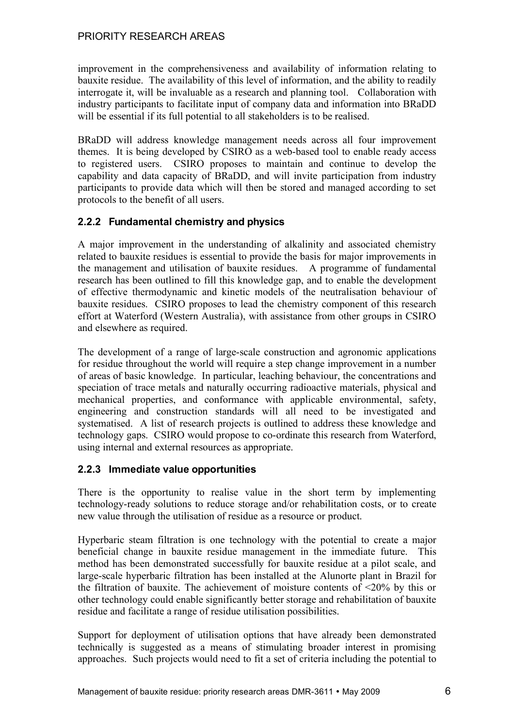improvement in the comprehensiveness and availability of information relating to bauxite residue. The availability of this level of information, and the ability to readily interrogate it, will be invaluable as a research and planning tool. Collaboration with industry participants to facilitate input of company data and information into BRaDD will be essential if its full potential to all stakeholders is to be realised.

BRaDD will address knowledge management needs across all four improvement themes. It is being developed by CSIRO as a web-based tool to enable ready access to registered users. CSIRO proposes to maintain and continue to develop the capability and data capacity of BRaDD, and will invite participation from industry participants to provide data which will then be stored and managed according to set protocols to the benefit of all users.

### **2.2.2 Fundamental chemistry and physics**

A major improvement in the understanding of alkalinity and associated chemistry related to bauxite residues is essential to provide the basis for major improvements in the management and utilisation of bauxite residues. A programme of fundamental research has been outlined to fill this knowledge gap, and to enable the development of effective thermodynamic and kinetic models of the neutralisation behaviour of bauxite residues. CSIRO proposes to lead the chemistry component of this research effort at Waterford (Western Australia), with assistance from other groups in CSIRO and elsewhere as required.

The development of a range of large-scale construction and agronomic applications for residue throughout the world will require a step change improvement in a number of areas of basic knowledge. In particular, leaching behaviour, the concentrations and speciation of trace metals and naturally occurring radioactive materials, physical and mechanical properties, and conformance with applicable environmental, safety, engineering and construction standards will all need to be investigated and systematised. A list of research projects is outlined to address these knowledge and technology gaps. CSIRO would propose to co-ordinate this research from Waterford, using internal and external resources as appropriate.

### **2.2.3 Immediate value opportunities**

There is the opportunity to realise value in the short term by implementing technology-ready solutions to reduce storage and/or rehabilitation costs, or to create new value through the utilisation of residue as a resource or product.

Hyperbaric steam filtration is one technology with the potential to create a major beneficial change in bauxite residue management in the immediate future. This method has been demonstrated successfully for bauxite residue at a pilot scale, and large-scale hyperbaric filtration has been installed at the Alunorte plant in Brazil for the filtration of bauxite. The achievement of moisture contents of <20% by this or other technology could enable significantly better storage and rehabilitation of bauxite residue and facilitate a range of residue utilisation possibilities.

Support for deployment of utilisation options that have already been demonstrated technically is suggested as a means of stimulating broader interest in promising approaches. Such projects would need to fit a set of criteria including the potential to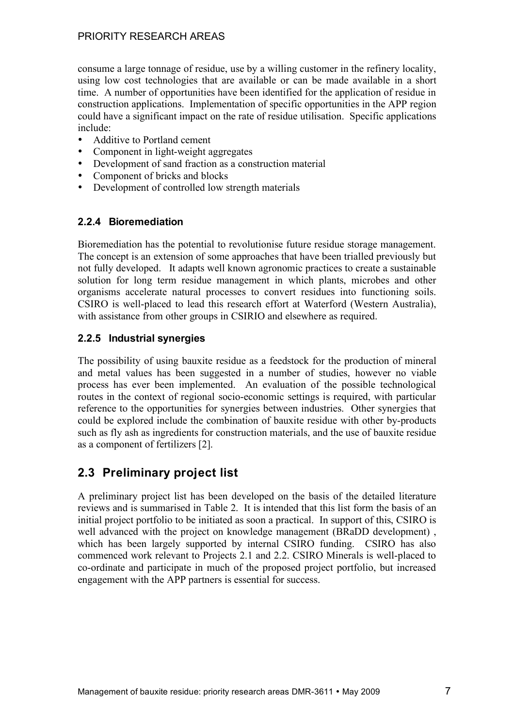consume a large tonnage of residue, use by a willing customer in the refinery locality, using low cost technologies that are available or can be made available in a short time. A number of opportunities have been identified for the application of residue in construction applications. Implementation of specific opportunities in the APP region could have a significant impact on the rate of residue utilisation. Specific applications include:

- Additive to Portland cement
- Component in light-weight aggregates
- Development of sand fraction as a construction material
- Component of bricks and blocks
- Development of controlled low strength materials

### **2.2.4 Bioremediation**

Bioremediation has the potential to revolutionise future residue storage management. The concept is an extension of some approaches that have been trialled previously but not fully developed. It adapts well known agronomic practices to create a sustainable solution for long term residue management in which plants, microbes and other organisms accelerate natural processes to convert residues into functioning soils. CSIRO is well-placed to lead this research effort at Waterford (Western Australia), with assistance from other groups in CSIRIO and elsewhere as required.

### **2.2.5 Industrial synergies**

The possibility of using bauxite residue as a feedstock for the production of mineral and metal values has been suggested in a number of studies, however no viable process has ever been implemented. An evaluation of the possible technological routes in the context of regional socio-economic settings is required, with particular reference to the opportunities for synergies between industries. Other synergies that could be explored include the combination of bauxite residue with other by-products such as fly ash as ingredients for construction materials, and the use of bauxite residue as a component of fertilizers [2].

# **2.3 Preliminary project list**

A preliminary project list has been developed on the basis of the detailed literature reviews and is summarised in Table 2. It is intended that this list form the basis of an initial project portfolio to be initiated as soon a practical. In support of this, CSIRO is well advanced with the project on knowledge management (BRaDD development) , which has been largely supported by internal CSIRO funding. CSIRO has also commenced work relevant to Projects 2.1 and 2.2. CSIRO Minerals is well-placed to co-ordinate and participate in much of the proposed project portfolio, but increased engagement with the APP partners is essential for success.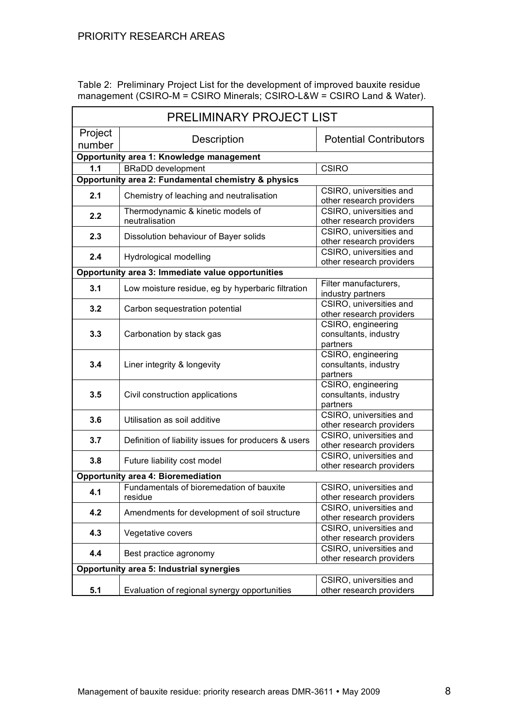Table 2: Preliminary Project List for the development of improved bauxite residue management (CSIRO-M = CSIRO Minerals; CSIRO-L&W = CSIRO Land & Water).

| PRELIMINARY PROJECT LIST                            |                                                                                        |                                                         |  |  |  |  |  |
|-----------------------------------------------------|----------------------------------------------------------------------------------------|---------------------------------------------------------|--|--|--|--|--|
| Project<br>number                                   | Description                                                                            | <b>Potential Contributors</b>                           |  |  |  |  |  |
| Opportunity area 1: Knowledge management            |                                                                                        |                                                         |  |  |  |  |  |
| 1.1                                                 | <b>CSIRO</b><br><b>BRaDD</b> development                                               |                                                         |  |  |  |  |  |
| Opportunity area 2: Fundamental chemistry & physics |                                                                                        |                                                         |  |  |  |  |  |
| 2.1                                                 | Chemistry of leaching and neutralisation                                               | CSIRO, universities and<br>other research providers     |  |  |  |  |  |
| 2.2                                                 | Thermodynamic & kinetic models of<br>neutralisation                                    | CSIRO, universities and<br>other research providers     |  |  |  |  |  |
| 2.3                                                 | Dissolution behaviour of Bayer solids                                                  | CSIRO, universities and<br>other research providers     |  |  |  |  |  |
| 2.4                                                 | Hydrological modelling                                                                 | CSIRO, universities and<br>other research providers     |  |  |  |  |  |
|                                                     | Opportunity area 3: Immediate value opportunities                                      |                                                         |  |  |  |  |  |
| 3.1                                                 | Low moisture residue, eg by hyperbaric filtration                                      | Filter manufacturers,<br>industry partners              |  |  |  |  |  |
| 3.2                                                 | Carbon sequestration potential                                                         | CSIRO, universities and<br>other research providers     |  |  |  |  |  |
| 3.3                                                 | Carbonation by stack gas                                                               | CSIRO, engineering<br>consultants, industry<br>partners |  |  |  |  |  |
| 3.4                                                 | CSIRO, engineering<br>consultants, industry<br>Liner integrity & longevity<br>partners |                                                         |  |  |  |  |  |
| 3.5                                                 | Civil construction applications                                                        | CSIRO, engineering<br>consultants, industry<br>partners |  |  |  |  |  |
| 3.6                                                 | Utilisation as soil additive                                                           | CSIRO, universities and<br>other research providers     |  |  |  |  |  |
| 3.7                                                 | Definition of liability issues for producers & users                                   | CSIRO, universities and<br>other research providers     |  |  |  |  |  |
| 3.8                                                 | Future liability cost model                                                            | CSIRO, universities and<br>other research providers     |  |  |  |  |  |
| <b>Opportunity area 4: Bioremediation</b>           |                                                                                        |                                                         |  |  |  |  |  |
| 4.1                                                 | Fundamentals of bioremedation of bauxite<br>residue                                    | CSIRO, universities and<br>other research providers     |  |  |  |  |  |
| 4.2                                                 | Amendments for development of soil structure                                           | CSIRO, universities and<br>other research providers     |  |  |  |  |  |
| 4.3                                                 | Vegetative covers                                                                      | CSIRO, universities and<br>other research providers     |  |  |  |  |  |
| 4.4                                                 | CSIRO, universities and<br>Best practice agronomy<br>other research providers          |                                                         |  |  |  |  |  |
| <b>Opportunity area 5: Industrial synergies</b>     |                                                                                        |                                                         |  |  |  |  |  |
| 5.1                                                 | Evaluation of regional synergy opportunities                                           | CSIRO, universities and<br>other research providers     |  |  |  |  |  |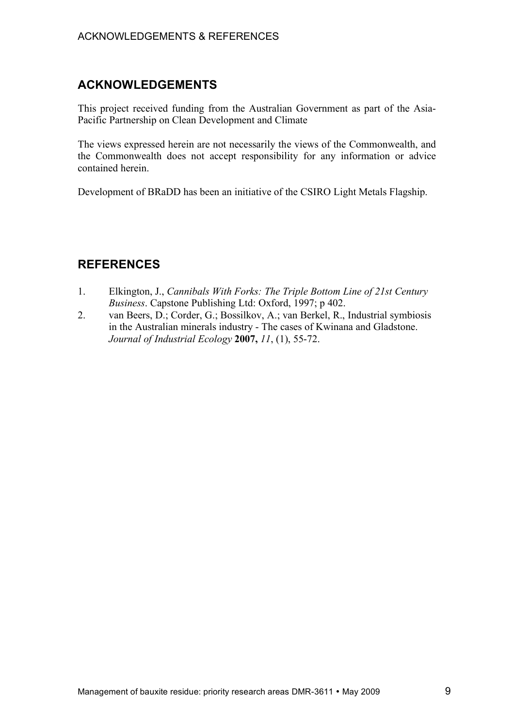# **ACKNOWLEDGEMENTS**

This project received funding from the Australian Government as part of the Asia-Pacific Partnership on Clean Development and Climate

The views expressed herein are not necessarily the views of the Commonwealth, and the Commonwealth does not accept responsibility for any information or advice contained herein.

Development of BRaDD has been an initiative of the CSIRO Light Metals Flagship.

# **REFERENCES**

- 1. Elkington, J., *Cannibals With Forks: The Triple Bottom Line of 21st Century Business*. Capstone Publishing Ltd: Oxford, 1997; p 402.
- 2. van Beers, D.; Corder, G.; Bossilkov, A.; van Berkel, R., Industrial symbiosis in the Australian minerals industry - The cases of Kwinana and Gladstone. *Journal of Industrial Ecology* **2007,** *11*, (1), 55-72.